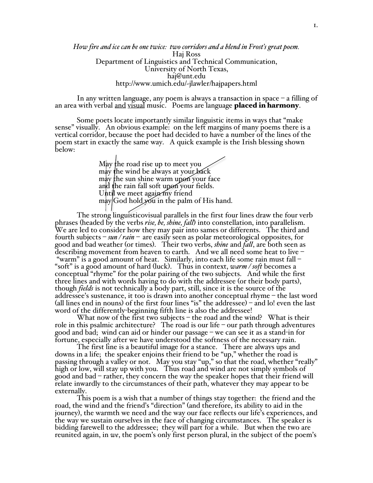*How fire and ice can be one twice: two corridors and a blend in Frost's great poem.* Haj Ross Department of Linguistics and Technical Communication, University of North Texas, haj@unt.edu http://www.umich.edu/~jlawler/hajpapers.html

In any written language, any poem is always a transaction in space – a filling of an area with verbal and visual music. Poems are language **placed in harmony**.

Some poets locate importantly similar linguistic items in ways that "make sense" visually. An obvious example: on the left margins of many poems there is a vertical corridor, because the poet had decided to have a number of the lines of the poem start in exactly the same way. A quick example is the Irish blessing shown below:

> May the road rise up to meet you may the wind be always at your back may the sun shine warm upon your face and the rain fall soft upon your fields. Until we meet again my friend  $m$ ay $\left| \text{God }$  hold you in the palm of His hand.

The strong linguisticovisual parallels in the first four lines draw the four verb phrases (headed by the verbs *rise, be, shine, fall*) into constellation, into parallelism. We are led to consider how they may pair into sames or differents. The third and fourth subjects – *sun / rain* – are easily seen as polar meteorological opposites, for good and bad weather (or times). Their two verbs, *shine* and *fall*, are both seen as describing movement from heaven to earth. And we all need some heat to live – "warm" is a good amount of heat. Similarly, into each life some rain must fall – "soft" is a good amount of hard (luck). Thus in context, *warm / soft* becomes a conceptual "rhyme" for the polar pairing of the two subjects. And while the first three lines and with words having to do with the addressee (or their body parts), though *fields* is not technically a body part, still, since it is the source of the addressee's sustenance, it too is drawn into another conceptual rhyme – the last word (all lines end in nouns) of the first four lines "is" the addressee) – and lo! even the last word of the differently-beginning fifth line is also the addressee!

What now of the first two subjects – the road and the wind? What is their role in this psalmic architecture? The road is our life – our path through adventures good and bad; wind can aid or hinder our passage – we can see it as a stand-in for fortune, especially after we have understood the softness of the necessary rain.

The first line is a beautiful image for a stance. There are always ups and downs in a life; the speaker enjoins their friend to be "up," whether the road is passing through a valley or not. May you stay "up," so that the road, whether "really" high or low, will stay up with you. Thus road and wind are not simply symbols of good and bad – rather, they concern the way the speaker hopes that their friend will relate inwardly to the circumstances of their path, whatever they may appear to be externally.<br>This poem is a wish that a number of things stay together: the friend and the

road, the wind and the friend's "direction" (and therefore, its ability to aid in the journey), the warmth we need and the way our face reflects our life's experiences, and the way we sustain ourselves in the face of changing circumstances. The speaker is bidding farewell to the addressee; they will part for a while. But when the two are reunited again, in *we*, the poem's only first person plural, in the subject of the poem's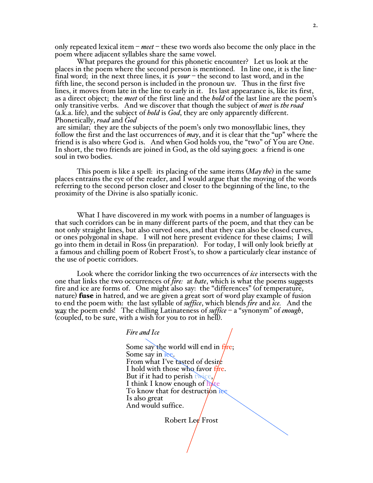only repeated lexical item – *meet* – these two words also become the only place in the poem where adjacent syllables share the same vowel.

What prepares the ground for this phonetic encounter? Let us look at the places in the poem where the second person is mentioned. In line one, it is the linefinal word; in the next three lines, it is *your* – the second to last word, and in the fifth line, the second person is included in the pronoun *we*. Thus in the first five lines, it moves from late in the line to early in it. Its last appearance is, like its first, as a direct object; the *meet* of the first line and the *hold* of the last line are the poem's only transitive verbs. And we discover that though the subject of *meet* is *the road* (a.k.a. life), and the subject of *hold* is *God*, they are only apparently different. Phonetically, *road* and *God*

 are similar; they are the subjects of the poem's only two monosyllabic lines, they follow the first and the last occurrences of *may*, and it is clear that the "up" where the friend is is also where God is. And when God holds you, the "two" of You are One. In short, the two friends are joined in God, as the old saying goes: a friend is one soul in two bodies.

This poem is like a spell: its placing of the same items (*May the*) in the same places entrains the eye of the reader, and I would argue that the moving of the words referring to the second person closer and closer to the beginning of the line, to the proximity of the Divine is also spatially iconic.

What I have discovered in my work with poems in a number of languages is that such corridors can be in many different parts of the poem, and that they can be not only straight lines, but also curved ones, and that they can also be closed curves, or ones polygonal in shape. I will not here present evidence for these claims; I will go into them in detail in Ross (in preparation). For today, I will only look briefly at a famous and chilling poem of Robert Frost's, to show a particularly clear instance of the use of poetic corridors.

Look where the corridor linking the two occurrences of *ice* intersects with the one that links the two occurrences of *fire:* at *hate*, which is what the poems suggests fire and ice are forms of. One might also say: the "differences" (of temperature, nature) **fuse** in hatred, and we are given a great sort of word play example of fusion to end the poem with: the last syllable of *suffice*, which blends *fire* and *ice.* And the way the poem ends! The chilling Latinateness of *suffice* – a "synonym" of *enough*, (coupled, to be sure, with a wish for you to rot in hell).

## *Fire and Ice*

Some say the world will end in fire; Some say in ice. From what I've tasted of desire I hold with those who favor fire. But if it had to perish twice, I think I know enough of  $\frac{h}{f}$ To know that for destruction ice Is also great And would suffice.

Robert Lee Frost